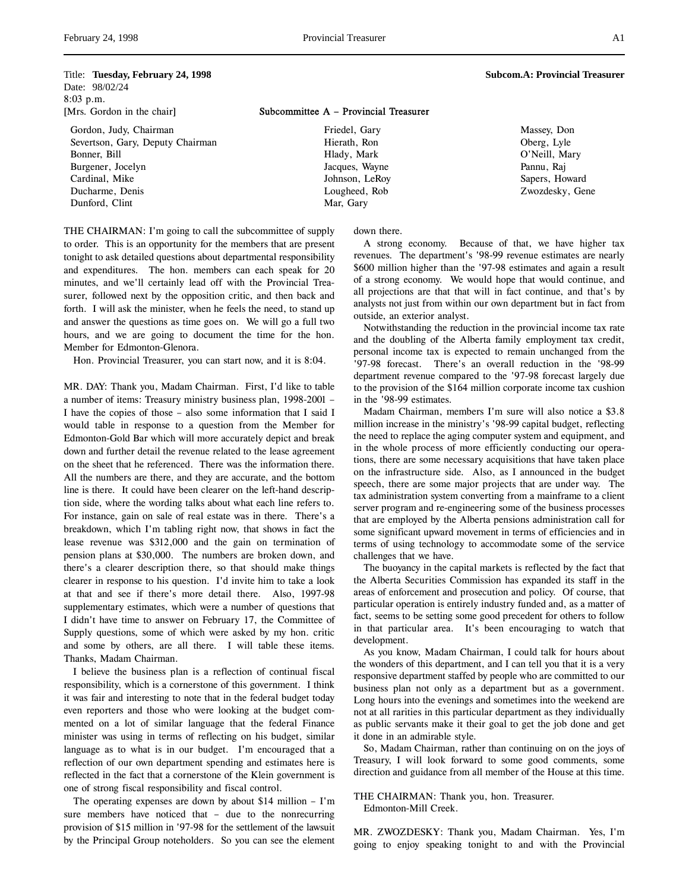### Title: **Tuesday, February 24, 1998** Subcom.A: Provincial Treasurer

Date: 98/02/24 8:03 p.m.

Gordon, Judy, Chairman Severtson, Gary, Deputy Chairman Bonner, Bill Burgener, Jocelyn Cardinal, Mike Ducharme, Denis Dunford, Clint

[Mrs. Gordon in the chair] Subcommittee A – Provincial Treasurer

Friedel, Gary Hierath, Ron Hlady, Mark Jacques, Wayne Johnson, LeRoy Lougheed, Rob Mar, Gary

Massey, Don Oberg, Lyle O'Neill, Mary Pannu, Raj Sapers, Howard Zwozdesky, Gene

THE CHAIRMAN: I'm going to call the subcommittee of supply to order. This is an opportunity for the members that are present tonight to ask detailed questions about departmental responsibility and expenditures. The hon. members can each speak for 20 minutes, and we'll certainly lead off with the Provincial Treasurer, followed next by the opposition critic, and then back and forth. I will ask the minister, when he feels the need, to stand up and answer the questions as time goes on. We will go a full two hours, and we are going to document the time for the hon. Member for Edmonton-Glenora.

Hon. Provincial Treasurer, you can start now, and it is 8:04.

MR. DAY: Thank you, Madam Chairman. First, I'd like to table a number of items: Treasury ministry business plan, 1998-2001 – I have the copies of those – also some information that I said I would table in response to a question from the Member for Edmonton-Gold Bar which will more accurately depict and break down and further detail the revenue related to the lease agreement on the sheet that he referenced. There was the information there. All the numbers are there, and they are accurate, and the bottom line is there. It could have been clearer on the left-hand description side, where the wording talks about what each line refers to. For instance, gain on sale of real estate was in there. There's a breakdown, which I'm tabling right now, that shows in fact the lease revenue was \$312,000 and the gain on termination of pension plans at \$30,000. The numbers are broken down, and there's a clearer description there, so that should make things clearer in response to his question. I'd invite him to take a look at that and see if there's more detail there. Also, 1997-98 supplementary estimates, which were a number of questions that I didn't have time to answer on February 17, the Committee of Supply questions, some of which were asked by my hon. critic and some by others, are all there. I will table these items. Thanks, Madam Chairman.

I believe the business plan is a reflection of continual fiscal responsibility, which is a cornerstone of this government. I think it was fair and interesting to note that in the federal budget today even reporters and those who were looking at the budget commented on a lot of similar language that the federal Finance minister was using in terms of reflecting on his budget, similar language as to what is in our budget. I'm encouraged that a reflection of our own department spending and estimates here is reflected in the fact that a cornerstone of the Klein government is one of strong fiscal responsibility and fiscal control.

The operating expenses are down by about \$14 million – I'm sure members have noticed that – due to the nonrecurring provision of \$15 million in '97-98 for the settlement of the lawsuit by the Principal Group noteholders. So you can see the element

down there.

A strong economy. Because of that, we have higher tax revenues. The department's '98-99 revenue estimates are nearly \$600 million higher than the '97-98 estimates and again a result of a strong economy. We would hope that would continue, and all projections are that that will in fact continue, and that's by analysts not just from within our own department but in fact from outside, an exterior analyst.

Notwithstanding the reduction in the provincial income tax rate and the doubling of the Alberta family employment tax credit, personal income tax is expected to remain unchanged from the '97-98 forecast. There's an overall reduction in the '98-99 department revenue compared to the '97-98 forecast largely due to the provision of the \$164 million corporate income tax cushion in the '98-99 estimates.

Madam Chairman, members I'm sure will also notice a \$3.8 million increase in the ministry's '98-99 capital budget, reflecting the need to replace the aging computer system and equipment, and in the whole process of more efficiently conducting our operations, there are some necessary acquisitions that have taken place on the infrastructure side. Also, as I announced in the budget speech, there are some major projects that are under way. The tax administration system converting from a mainframe to a client server program and re-engineering some of the business processes that are employed by the Alberta pensions administration call for some significant upward movement in terms of efficiencies and in terms of using technology to accommodate some of the service challenges that we have.

The buoyancy in the capital markets is reflected by the fact that the Alberta Securities Commission has expanded its staff in the areas of enforcement and prosecution and policy. Of course, that particular operation is entirely industry funded and, as a matter of fact, seems to be setting some good precedent for others to follow in that particular area. It's been encouraging to watch that development.

As you know, Madam Chairman, I could talk for hours about the wonders of this department, and I can tell you that it is a very responsive department staffed by people who are committed to our business plan not only as a department but as a government. Long hours into the evenings and sometimes into the weekend are not at all rarities in this particular department as they individually as public servants make it their goal to get the job done and get it done in an admirable style.

So, Madam Chairman, rather than continuing on on the joys of Treasury, I will look forward to some good comments, some direction and guidance from all member of the House at this time.

THE CHAIRMAN: Thank you, hon. Treasurer. Edmonton-Mill Creek.

MR. ZWOZDESKY: Thank you, Madam Chairman. Yes, I'm going to enjoy speaking tonight to and with the Provincial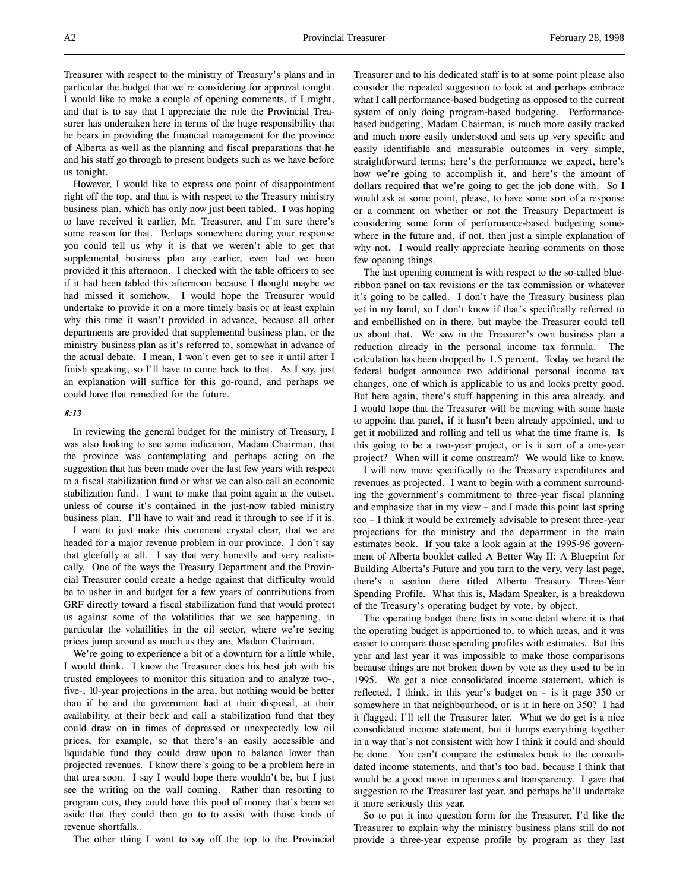Treasurer with respect to the ministry of Treasury's plans and in particular the budget that we're considering for approval tonight. I would like to make a couple of opening comments, if I might, and that is to say that I appreciate the role the Provincial Treasurer has undertaken here in terms of the huge responsibility that he bears in providing the financial management for the province of Alberta as well as the planning and fiscal preparations that he and his staff go through to present budgets such as we have before us tonight.

However, I would like to express one point of disappointment right off the top, and that is with respect to the Treasury ministry business plan, which has only now just been tabled. I was hoping to have received it earlier, Mr. Treasurer, and I'm sure there's some reason for that. Perhaps somewhere during your response you could tell us why it is that we weren't able to get that supplemental business plan any earlier, even had we been provided it this afternoon. I checked with the table officers to see if it had been tabled this afternoon because I thought maybe we had missed it somehow. I would hope the Treasurer would undertake to provide it on a more timely basis or at least explain why this time it wasn't provided in advance, because all other departments are provided that supplemental business plan, or the ministry business plan as it's referred to, somewhat in advance of the actual debate. I mean, I won't even get to see it until after I finish speaking, so I'll have to come back to that. As I say, just an explanation will suffice for this go-round, and perhaps we could have that remedied for the future.

# 8:13

In reviewing the general budget for the ministry of Treasury, I was also looking to see some indication, Madam Chairman, that the province was contemplating and perhaps acting on the suggestion that has been made over the last few years with respect to a fiscal stabilization fund or what we can also call an economic stabilization fund. I want to make that point again at the outset, unless of course it's contained in the just-now tabled ministry business plan. I'll have to wait and read it through to see if it is.

I want to just make this comment crystal clear, that we are headed for a major revenue problem in our province. I don't say that gleefully at all. I say that very honestly and very realistically. One of the ways the Treasury Department and the Provincial Treasurer could create a hedge against that difficulty would be to usher in and budget for a few years of contributions from GRF directly toward a fiscal stabilization fund that would protect us against some of the volatilities that we see happening, in particular the volatilities in the oil sector, where we're seeing prices jump around as much as they are, Madam Chairman.

We're going to experience a bit of a downturn for a little while, I would think. I know the Treasurer does his best job with his trusted employees to monitor this situation and to analyze two-, five-, 10-year projections in the area, but nothing would be better than if he and the government had at their disposal, at their availability, at their beck and call a stabilization fund that they could draw on in times of depressed or unexpectedly low oil prices, for example, so that there's an easily accessible and liquidable fund they could draw upon to balance lower than projected revenues. I know there's going to be a problem here in that area soon. I say I would hope there wouldn't be, but I just see the writing on the wall coming. Rather than resorting to program cuts, they could have this pool of money that's been set aside that they could then go to to assist with those kinds of revenue shortfalls.

The other thing I want to say off the top to the Provincial

Treasurer and to his dedicated staff is to at some point please also consider the repeated suggestion to look at and perhaps embrace what I call performance-based budgeting as opposed to the current system of only doing program-based budgeting. Performancebased budgeting, Madam Chairman, is much more easily tracked and much more easily understood and sets up very specific and easily identifiable and measurable outcomes in very simple, straightforward terms: here's the performance we expect, here's how we're going to accomplish it, and here's the amount of dollars required that we're going to get the job done with. So I would ask at some point, please, to have some sort of a response or a comment on whether or not the Treasury Department is considering some form of performance-based budgeting somewhere in the future and, if not, then just a simple explanation of why not. I would really appreciate hearing comments on those few opening things.

The last opening comment is with respect to the so-called blueribbon panel on tax revisions or the tax commission or whatever it's going to be called. I don't have the Treasury business plan yet in my hand, so I don't know if that's specifically referred to and embellished on in there, but maybe the Treasurer could tell us about that. We saw in the Treasurer's own business plan a reduction already in the personal income tax formula. The calculation has been dropped by 1.5 percent. Today we heard the federal budget announce two additional personal income tax changes, one of which is applicable to us and looks pretty good. But here again, there's stuff happening in this area already, and I would hope that the Treasurer will be moving with some haste to appoint that panel, if it hasn't been already appointed, and to get it mobilized and rolling and tell us what the time frame is. Is this going to be a two-year project, or is it sort of a one-year project? When will it come onstream? We would like to know.

I will now move specifically to the Treasury expenditures and revenues as projected. I want to begin with a comment surrounding the government's commitment to three-year fiscal planning and emphasize that in my view – and I made this point last spring too – I think it would be extremely advisable to present three-year projections for the ministry and the department in the main estimates book. If you take a look again at the 1995-96 government of Alberta booklet called A Better Way II: A Blueprint for Building Alberta's Future and you turn to the very, very last page, there's a section there titled Alberta Treasury Three-Year Spending Profile. What this is, Madam Speaker, is a breakdown of the Treasury's operating budget by vote, by object.

The operating budget there lists in some detail where it is that the operating budget is apportioned to, to which areas, and it was easier to compare those spending profiles with estimates. But this year and last year it was impossible to make those comparisons because things are not broken down by vote as they used to be in 1995. We get a nice consolidated income statement, which is reflected, I think, in this year's budget on – is it page 350 or somewhere in that neighbourhood, or is it in here on 350? I had it flagged; I'll tell the Treasurer later. What we do get is a nice consolidated income statement, but it lumps everything together in a way that's not consistent with how I think it could and should be done. You can't compare the estimates book to the consolidated income statements, and that's too bad, because I think that would be a good move in openness and transparency. I gave that suggestion to the Treasurer last year, and perhaps he'll undertake it more seriously this year.

So to put it into question form for the Treasurer, I'd like the Treasurer to explain why the ministry business plans still do not provide a three-year expense profile by program as they last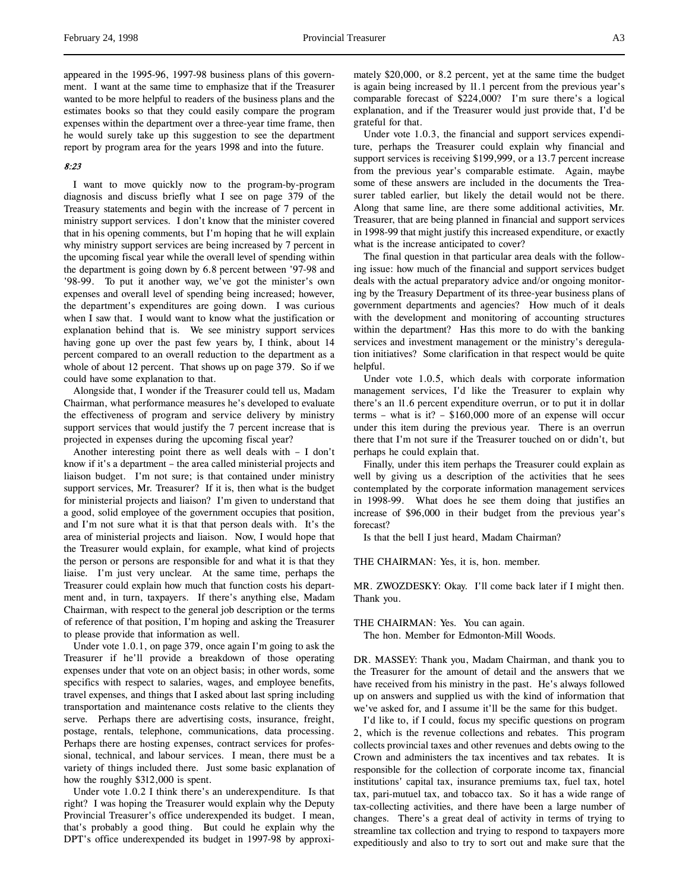appeared in the 1995-96, 1997-98 business plans of this government. I want at the same time to emphasize that if the Treasurer wanted to be more helpful to readers of the business plans and the estimates books so that they could easily compare the program expenses within the department over a three-year time frame, then he would surely take up this suggestion to see the department report by program area for the years 1998 and into the future.

# 8:23

I want to move quickly now to the program-by-program diagnosis and discuss briefly what I see on page 379 of the Treasury statements and begin with the increase of 7 percent in ministry support services. I don't know that the minister covered that in his opening comments, but I'm hoping that he will explain why ministry support services are being increased by 7 percent in the upcoming fiscal year while the overall level of spending within the department is going down by 6.8 percent between '97-98 and '98-99. To put it another way, we've got the minister's own expenses and overall level of spending being increased; however, the department's expenditures are going down. I was curious when I saw that. I would want to know what the justification or explanation behind that is. We see ministry support services having gone up over the past few years by, I think, about 14 percent compared to an overall reduction to the department as a whole of about 12 percent. That shows up on page 379. So if we could have some explanation to that.

Alongside that, I wonder if the Treasurer could tell us, Madam Chairman, what performance measures he's developed to evaluate the effectiveness of program and service delivery by ministry support services that would justify the 7 percent increase that is projected in expenses during the upcoming fiscal year?

Another interesting point there as well deals with – I don't know if it's a department – the area called ministerial projects and liaison budget. I'm not sure; is that contained under ministry support services, Mr. Treasurer? If it is, then what is the budget for ministerial projects and liaison? I'm given to understand that a good, solid employee of the government occupies that position, and I'm not sure what it is that that person deals with. It's the area of ministerial projects and liaison. Now, I would hope that the Treasurer would explain, for example, what kind of projects the person or persons are responsible for and what it is that they liaise. I'm just very unclear. At the same time, perhaps the Treasurer could explain how much that function costs his department and, in turn, taxpayers. If there's anything else, Madam Chairman, with respect to the general job description or the terms of reference of that position, I'm hoping and asking the Treasurer to please provide that information as well.

Under vote 1.0.1, on page 379, once again I'm going to ask the Treasurer if he'll provide a breakdown of those operating expenses under that vote on an object basis; in other words, some specifics with respect to salaries, wages, and employee benefits, travel expenses, and things that I asked about last spring including transportation and maintenance costs relative to the clients they serve. Perhaps there are advertising costs, insurance, freight, postage, rentals, telephone, communications, data processing. Perhaps there are hosting expenses, contract services for professional, technical, and labour services. I mean, there must be a variety of things included there. Just some basic explanation of how the roughly \$312,000 is spent.

Under vote 1.0.2 I think there's an underexpenditure. Is that right? I was hoping the Treasurer would explain why the Deputy Provincial Treasurer's office underexpended its budget. I mean, that's probably a good thing. But could he explain why the DPT's office underexpended its budget in 1997-98 by approximately \$20,000, or 8.2 percent, yet at the same time the budget is again being increased by 11.1 percent from the previous year's comparable forecast of \$224,000? I'm sure there's a logical explanation, and if the Treasurer would just provide that, I'd be grateful for that.

Under vote 1.0.3, the financial and support services expenditure, perhaps the Treasurer could explain why financial and support services is receiving \$199,999, or a 13.7 percent increase from the previous year's comparable estimate. Again, maybe some of these answers are included in the documents the Treasurer tabled earlier, but likely the detail would not be there. Along that same line, are there some additional activities, Mr. Treasurer, that are being planned in financial and support services in 1998-99 that might justify this increased expenditure, or exactly what is the increase anticipated to cover?

The final question in that particular area deals with the following issue: how much of the financial and support services budget deals with the actual preparatory advice and/or ongoing monitoring by the Treasury Department of its three-year business plans of government departments and agencies? How much of it deals with the development and monitoring of accounting structures within the department? Has this more to do with the banking services and investment management or the ministry's deregulation initiatives? Some clarification in that respect would be quite helpful.

Under vote 1.0.5, which deals with corporate information management services, I'd like the Treasurer to explain why there's an 11.6 percent expenditure overrun, or to put it in dollar terms – what is it? – \$160,000 more of an expense will occur under this item during the previous year. There is an overrun there that I'm not sure if the Treasurer touched on or didn't, but perhaps he could explain that.

Finally, under this item perhaps the Treasurer could explain as well by giving us a description of the activities that he sees contemplated by the corporate information management services in 1998-99. What does he see them doing that justifies an increase of \$96,000 in their budget from the previous year's forecast?

Is that the bell I just heard, Madam Chairman?

THE CHAIRMAN: Yes, it is, hon. member.

MR. ZWOZDESKY: Okay. I'll come back later if I might then. Thank you.

THE CHAIRMAN: Yes. You can again.

The hon. Member for Edmonton-Mill Woods.

DR. MASSEY: Thank you, Madam Chairman, and thank you to the Treasurer for the amount of detail and the answers that we have received from his ministry in the past. He's always followed up on answers and supplied us with the kind of information that we've asked for, and I assume it'll be the same for this budget.

I'd like to, if I could, focus my specific questions on program 2, which is the revenue collections and rebates. This program collects provincial taxes and other revenues and debts owing to the Crown and administers the tax incentives and tax rebates. It is responsible for the collection of corporate income tax, financial institutions' capital tax, insurance premiums tax, fuel tax, hotel tax, pari-mutuel tax, and tobacco tax. So it has a wide range of tax-collecting activities, and there have been a large number of changes. There's a great deal of activity in terms of trying to streamline tax collection and trying to respond to taxpayers more expeditiously and also to try to sort out and make sure that the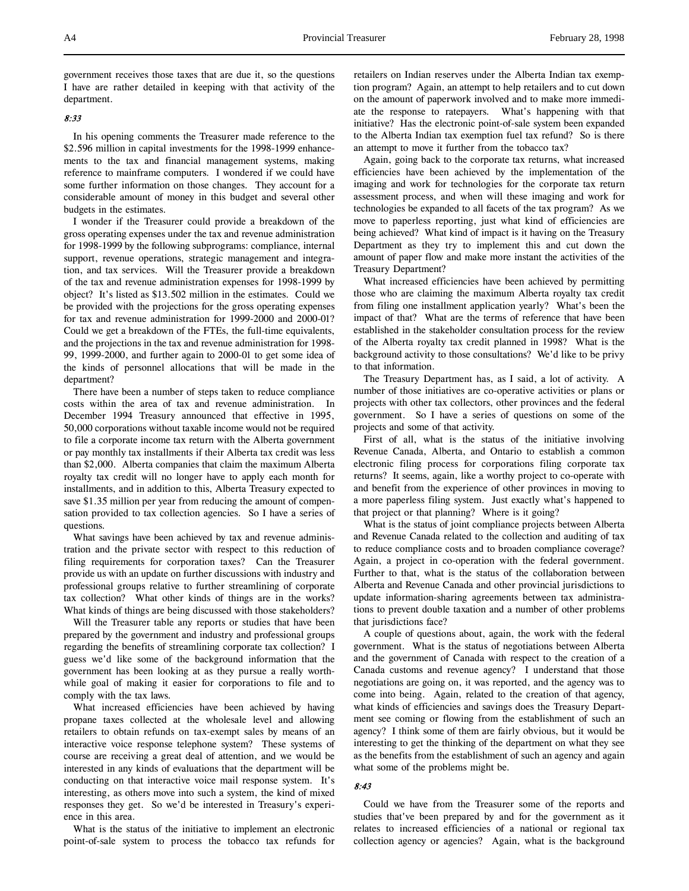government receives those taxes that are due it, so the questions I have are rather detailed in keeping with that activity of the department.

### 8:33

In his opening comments the Treasurer made reference to the \$2.596 million in capital investments for the 1998-1999 enhancements to the tax and financial management systems, making reference to mainframe computers. I wondered if we could have some further information on those changes. They account for a considerable amount of money in this budget and several other budgets in the estimates.

I wonder if the Treasurer could provide a breakdown of the gross operating expenses under the tax and revenue administration for 1998-1999 by the following subprograms: compliance, internal support, revenue operations, strategic management and integration, and tax services. Will the Treasurer provide a breakdown of the tax and revenue administration expenses for 1998-1999 by object? It's listed as \$13.502 million in the estimates. Could we be provided with the projections for the gross operating expenses for tax and revenue administration for 1999-2000 and 2000-01? Could we get a breakdown of the FTEs, the full-time equivalents, and the projections in the tax and revenue administration for 1998- 99, 1999-2000, and further again to 2000-01 to get some idea of the kinds of personnel allocations that will be made in the department?

There have been a number of steps taken to reduce compliance costs within the area of tax and revenue administration. In December 1994 Treasury announced that effective in 1995, 50,000 corporations without taxable income would not be required to file a corporate income tax return with the Alberta government or pay monthly tax installments if their Alberta tax credit was less than \$2,000. Alberta companies that claim the maximum Alberta royalty tax credit will no longer have to apply each month for installments, and in addition to this, Alberta Treasury expected to save \$1.35 million per year from reducing the amount of compensation provided to tax collection agencies. So I have a series of questions.

What savings have been achieved by tax and revenue administration and the private sector with respect to this reduction of filing requirements for corporation taxes? Can the Treasurer provide us with an update on further discussions with industry and professional groups relative to further streamlining of corporate tax collection? What other kinds of things are in the works? What kinds of things are being discussed with those stakeholders?

Will the Treasurer table any reports or studies that have been prepared by the government and industry and professional groups regarding the benefits of streamlining corporate tax collection? I guess we'd like some of the background information that the government has been looking at as they pursue a really worthwhile goal of making it easier for corporations to file and to comply with the tax laws.

What increased efficiencies have been achieved by having propane taxes collected at the wholesale level and allowing retailers to obtain refunds on tax-exempt sales by means of an interactive voice response telephone system? These systems of course are receiving a great deal of attention, and we would be interested in any kinds of evaluations that the department will be conducting on that interactive voice mail response system. It's interesting, as others move into such a system, the kind of mixed responses they get. So we'd be interested in Treasury's experience in this area.

What is the status of the initiative to implement an electronic point-of-sale system to process the tobacco tax refunds for

retailers on Indian reserves under the Alberta Indian tax exemption program? Again, an attempt to help retailers and to cut down on the amount of paperwork involved and to make more immediate the response to ratepayers. What's happening with that initiative? Has the electronic point-of-sale system been expanded to the Alberta Indian tax exemption fuel tax refund? So is there an attempt to move it further from the tobacco tax?

Again, going back to the corporate tax returns, what increased efficiencies have been achieved by the implementation of the imaging and work for technologies for the corporate tax return assessment process, and when will these imaging and work for technologies be expanded to all facets of the tax program? As we move to paperless reporting, just what kind of efficiencies are being achieved? What kind of impact is it having on the Treasury Department as they try to implement this and cut down the amount of paper flow and make more instant the activities of the Treasury Department?

What increased efficiencies have been achieved by permitting those who are claiming the maximum Alberta royalty tax credit from filing one installment application yearly? What's been the impact of that? What are the terms of reference that have been established in the stakeholder consultation process for the review of the Alberta royalty tax credit planned in 1998? What is the background activity to those consultations? We'd like to be privy to that information.

The Treasury Department has, as I said, a lot of activity. A number of those initiatives are co-operative activities or plans or projects with other tax collectors, other provinces and the federal government. So I have a series of questions on some of the projects and some of that activity.

First of all, what is the status of the initiative involving Revenue Canada, Alberta, and Ontario to establish a common electronic filing process for corporations filing corporate tax returns? It seems, again, like a worthy project to co-operate with and benefit from the experience of other provinces in moving to a more paperless filing system. Just exactly what's happened to that project or that planning? Where is it going?

What is the status of joint compliance projects between Alberta and Revenue Canada related to the collection and auditing of tax to reduce compliance costs and to broaden compliance coverage? Again, a project in co-operation with the federal government. Further to that, what is the status of the collaboration between Alberta and Revenue Canada and other provincial jurisdictions to update information-sharing agreements between tax administrations to prevent double taxation and a number of other problems that jurisdictions face?

A couple of questions about, again, the work with the federal government. What is the status of negotiations between Alberta and the government of Canada with respect to the creation of a Canada customs and revenue agency? I understand that those negotiations are going on, it was reported, and the agency was to come into being. Again, related to the creation of that agency, what kinds of efficiencies and savings does the Treasury Department see coming or flowing from the establishment of such an agency? I think some of them are fairly obvious, but it would be interesting to get the thinking of the department on what they see as the benefits from the establishment of such an agency and again what some of the problems might be.

### 8:43

Could we have from the Treasurer some of the reports and studies that've been prepared by and for the government as it relates to increased efficiencies of a national or regional tax collection agency or agencies? Again, what is the background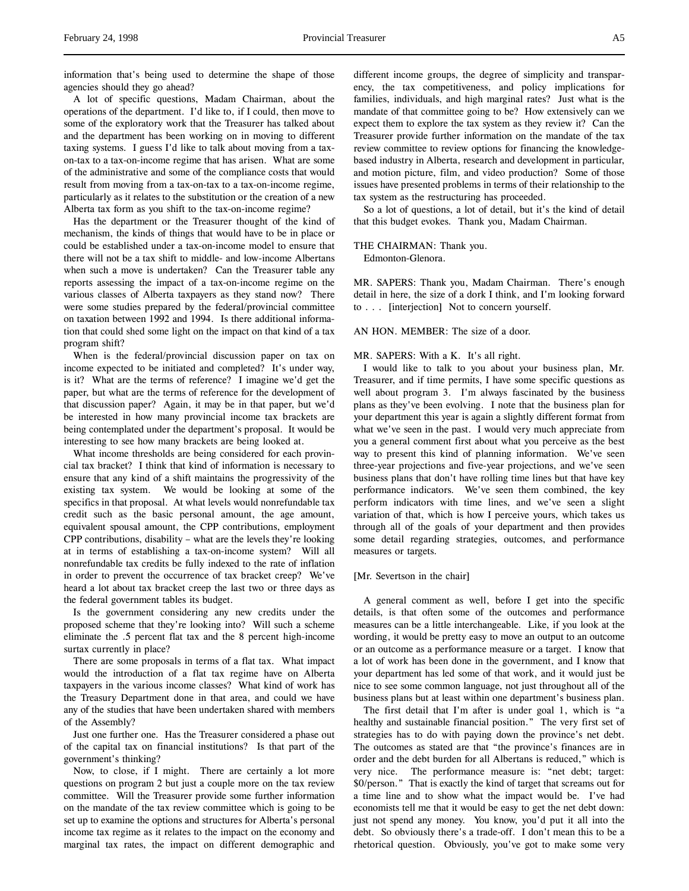information that's being used to determine the shape of those agencies should they go ahead?

A lot of specific questions, Madam Chairman, about the operations of the department. I'd like to, if I could, then move to some of the exploratory work that the Treasurer has talked about and the department has been working on in moving to different taxing systems. I guess I'd like to talk about moving from a taxon-tax to a tax-on-income regime that has arisen. What are some of the administrative and some of the compliance costs that would result from moving from a tax-on-tax to a tax-on-income regime, particularly as it relates to the substitution or the creation of a new Alberta tax form as you shift to the tax-on-income regime?

Has the department or the Treasurer thought of the kind of mechanism, the kinds of things that would have to be in place or could be established under a tax-on-income model to ensure that there will not be a tax shift to middle- and low-income Albertans when such a move is undertaken? Can the Treasurer table any reports assessing the impact of a tax-on-income regime on the various classes of Alberta taxpayers as they stand now? There were some studies prepared by the federal/provincial committee on taxation between 1992 and 1994. Is there additional information that could shed some light on the impact on that kind of a tax program shift?

When is the federal/provincial discussion paper on tax on income expected to be initiated and completed? It's under way, is it? What are the terms of reference? I imagine we'd get the paper, but what are the terms of reference for the development of that discussion paper? Again, it may be in that paper, but we'd be interested in how many provincial income tax brackets are being contemplated under the department's proposal. It would be interesting to see how many brackets are being looked at.

What income thresholds are being considered for each provincial tax bracket? I think that kind of information is necessary to ensure that any kind of a shift maintains the progressivity of the existing tax system. We would be looking at some of the specifics in that proposal. At what levels would nonrefundable tax credit such as the basic personal amount, the age amount, equivalent spousal amount, the CPP contributions, employment CPP contributions, disability – what are the levels they're looking at in terms of establishing a tax-on-income system? Will all nonrefundable tax credits be fully indexed to the rate of inflation in order to prevent the occurrence of tax bracket creep? We've heard a lot about tax bracket creep the last two or three days as the federal government tables its budget.

Is the government considering any new credits under the proposed scheme that they're looking into? Will such a scheme eliminate the .5 percent flat tax and the 8 percent high-income surtax currently in place?

There are some proposals in terms of a flat tax. What impact would the introduction of a flat tax regime have on Alberta taxpayers in the various income classes? What kind of work has the Treasury Department done in that area, and could we have any of the studies that have been undertaken shared with members of the Assembly?

Just one further one. Has the Treasurer considered a phase out of the capital tax on financial institutions? Is that part of the government's thinking?

Now, to close, if I might. There are certainly a lot more questions on program 2 but just a couple more on the tax review committee. Will the Treasurer provide some further information on the mandate of the tax review committee which is going to be set up to examine the options and structures for Alberta's personal income tax regime as it relates to the impact on the economy and marginal tax rates, the impact on different demographic and

different income groups, the degree of simplicity and transparency, the tax competitiveness, and policy implications for families, individuals, and high marginal rates? Just what is the mandate of that committee going to be? How extensively can we expect them to explore the tax system as they review it? Can the Treasurer provide further information on the mandate of the tax review committee to review options for financing the knowledgebased industry in Alberta, research and development in particular, and motion picture, film, and video production? Some of those issues have presented problems in terms of their relationship to the tax system as the restructuring has proceeded.

So a lot of questions, a lot of detail, but it's the kind of detail that this budget evokes. Thank you, Madam Chairman.

#### THE CHAIRMAN: Thank you.

Edmonton-Glenora.

MR. SAPERS: Thank you, Madam Chairman. There's enough detail in here, the size of a dork I think, and I'm looking forward to . . . [interjection] Not to concern yourself.

### AN HON. MEMBER: The size of a door.

#### MR. SAPERS: With a K. It's all right.

I would like to talk to you about your business plan, Mr. Treasurer, and if time permits, I have some specific questions as well about program 3. I'm always fascinated by the business plans as they've been evolving. I note that the business plan for your department this year is again a slightly different format from what we've seen in the past. I would very much appreciate from you a general comment first about what you perceive as the best way to present this kind of planning information. We've seen three-year projections and five-year projections, and we've seen business plans that don't have rolling time lines but that have key performance indicators. We've seen them combined, the key perform indicators with time lines, and we've seen a slight variation of that, which is how I perceive yours, which takes us through all of the goals of your department and then provides some detail regarding strategies, outcomes, and performance measures or targets.

### [Mr. Severtson in the chair]

A general comment as well, before I get into the specific details, is that often some of the outcomes and performance measures can be a little interchangeable. Like, if you look at the wording, it would be pretty easy to move an output to an outcome or an outcome as a performance measure or a target. I know that a lot of work has been done in the government, and I know that your department has led some of that work, and it would just be nice to see some common language, not just throughout all of the business plans but at least within one department's business plan.

The first detail that I'm after is under goal 1, which is "a healthy and sustainable financial position." The very first set of strategies has to do with paying down the province's net debt. The outcomes as stated are that "the province's finances are in order and the debt burden for all Albertans is reduced," which is very nice. The performance measure is: "net debt; target: \$0/person." That is exactly the kind of target that screams out for a time line and to show what the impact would be. I've had economists tell me that it would be easy to get the net debt down: just not spend any money. You know, you'd put it all into the debt. So obviously there's a trade-off. I don't mean this to be a rhetorical question. Obviously, you've got to make some very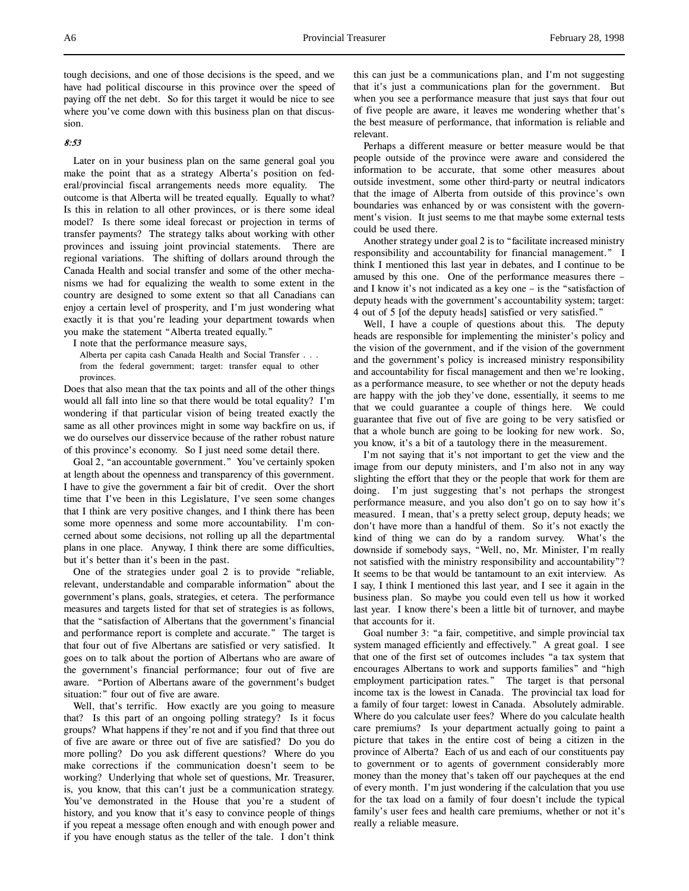tough decisions, and one of those decisions is the speed, and we have had political discourse in this province over the speed of paying off the net debt. So for this target it would be nice to see where you've come down with this business plan on that discussion.

## 8:53

Later on in your business plan on the same general goal you make the point that as a strategy Alberta's position on federal/provincial fiscal arrangements needs more equality. The outcome is that Alberta will be treated equally. Equally to what? Is this in relation to all other provinces, or is there some ideal model? Is there some ideal forecast or projection in terms of transfer payments? The strategy talks about working with other provinces and issuing joint provincial statements. There are regional variations. The shifting of dollars around through the Canada Health and social transfer and some of the other mechanisms we had for equalizing the wealth to some extent in the country are designed to some extent so that all Canadians can enjoy a certain level of prosperity, and I'm just wondering what exactly it is that you're leading your department towards when you make the statement "Alberta treated equally."

I note that the performance measure says,

Alberta per capita cash Canada Health and Social Transfer . . . from the federal government; target: transfer equal to other provinces.

Does that also mean that the tax points and all of the other things would all fall into line so that there would be total equality? I'm wondering if that particular vision of being treated exactly the same as all other provinces might in some way backfire on us, if we do ourselves our disservice because of the rather robust nature of this province's economy. So I just need some detail there.

Goal 2, "an accountable government." You've certainly spoken at length about the openness and transparency of this government. I have to give the government a fair bit of credit. Over the short time that I've been in this Legislature, I've seen some changes that I think are very positive changes, and I think there has been some more openness and some more accountability. I'm concerned about some decisions, not rolling up all the departmental plans in one place. Anyway, I think there are some difficulties, but it's better than it's been in the past.

One of the strategies under goal 2 is to provide "reliable, relevant, understandable and comparable information" about the government's plans, goals, strategies, et cetera. The performance measures and targets listed for that set of strategies is as follows, that the "satisfaction of Albertans that the government's financial and performance report is complete and accurate." The target is that four out of five Albertans are satisfied or very satisfied. It goes on to talk about the portion of Albertans who are aware of the government's financial performance; four out of five are aware. "Portion of Albertans aware of the government's budget situation:" four out of five are aware.

Well, that's terrific. How exactly are you going to measure that? Is this part of an ongoing polling strategy? Is it focus groups? What happens if they're not and if you find that three out of five are aware or three out of five are satisfied? Do you do more polling? Do you ask different questions? Where do you make corrections if the communication doesn't seem to be working? Underlying that whole set of questions, Mr. Treasurer, is, you know, that this can't just be a communication strategy. You've demonstrated in the House that you're a student of history, and you know that it's easy to convince people of things if you repeat a message often enough and with enough power and if you have enough status as the teller of the tale. I don't think

this can just be a communications plan, and I'm not suggesting that it's just a communications plan for the government. But when you see a performance measure that just says that four out of five people are aware, it leaves me wondering whether that's the best measure of performance, that information is reliable and relevant.

Perhaps a different measure or better measure would be that people outside of the province were aware and considered the information to be accurate, that some other measures about outside investment, some other third-party or neutral indicators that the image of Alberta from outside of this province's own boundaries was enhanced by or was consistent with the government's vision. It just seems to me that maybe some external tests could be used there.

Another strategy under goal 2 is to "facilitate increased ministry responsibility and accountability for financial management." I think I mentioned this last year in debates, and I continue to be amused by this one. One of the performance measures there – and I know it's not indicated as a key one – is the "satisfaction of deputy heads with the government's accountability system; target: 4 out of 5 [of the deputy heads] satisfied or very satisfied."

Well, I have a couple of questions about this. The deputy heads are responsible for implementing the minister's policy and the vision of the government, and if the vision of the government and the government's policy is increased ministry responsibility and accountability for fiscal management and then we're looking, as a performance measure, to see whether or not the deputy heads are happy with the job they've done, essentially, it seems to me that we could guarantee a couple of things here. We could guarantee that five out of five are going to be very satisfied or that a whole bunch are going to be looking for new work. So, you know, it's a bit of a tautology there in the measurement.

I'm not saying that it's not important to get the view and the image from our deputy ministers, and I'm also not in any way slighting the effort that they or the people that work for them are doing. I'm just suggesting that's not perhaps the strongest performance measure, and you also don't go on to say how it's measured. I mean, that's a pretty select group, deputy heads; we don't have more than a handful of them. So it's not exactly the kind of thing we can do by a random survey. What's the downside if somebody says, "Well, no, Mr. Minister, I'm really not satisfied with the ministry responsibility and accountability"? It seems to be that would be tantamount to an exit interview. As I say, I think I mentioned this last year, and I see it again in the business plan. So maybe you could even tell us how it worked last year. I know there's been a little bit of turnover, and maybe that accounts for it.

Goal number 3: "a fair, competitive, and simple provincial tax system managed efficiently and effectively." A great goal. I see that one of the first set of outcomes includes "a tax system that encourages Albertans to work and supports families" and "high employment participation rates." The target is that personal income tax is the lowest in Canada. The provincial tax load for a family of four target: lowest in Canada. Absolutely admirable. Where do you calculate user fees? Where do you calculate health care premiums? Is your department actually going to paint a picture that takes in the entire cost of being a citizen in the province of Alberta? Each of us and each of our constituents pay to government or to agents of government considerably more money than the money that's taken off our paycheques at the end of every month. I'm just wondering if the calculation that you use for the tax load on a family of four doesn't include the typical family's user fees and health care premiums, whether or not it's really a reliable measure.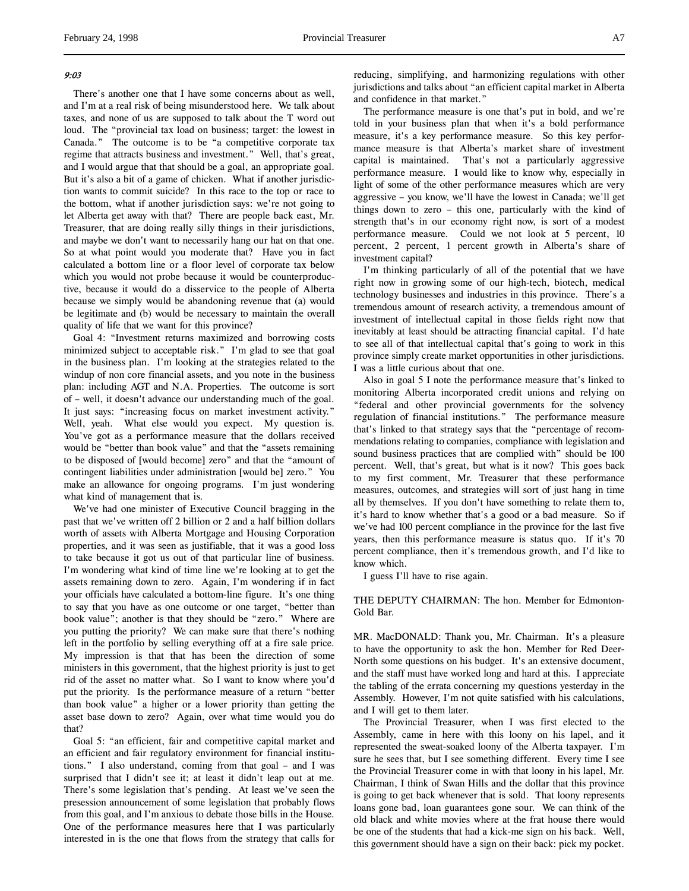### 9:03

There's another one that I have some concerns about as well, and I'm at a real risk of being misunderstood here. We talk about taxes, and none of us are supposed to talk about the T word out loud. The "provincial tax load on business; target: the lowest in Canada." The outcome is to be "a competitive corporate tax regime that attracts business and investment." Well, that's great, and I would argue that that should be a goal, an appropriate goal. But it's also a bit of a game of chicken. What if another jurisdiction wants to commit suicide? In this race to the top or race to the bottom, what if another jurisdiction says: we're not going to let Alberta get away with that? There are people back east, Mr. Treasurer, that are doing really silly things in their jurisdictions, and maybe we don't want to necessarily hang our hat on that one. So at what point would you moderate that? Have you in fact calculated a bottom line or a floor level of corporate tax below which you would not probe because it would be counterproductive, because it would do a disservice to the people of Alberta because we simply would be abandoning revenue that (a) would be legitimate and (b) would be necessary to maintain the overall quality of life that we want for this province?

Goal 4: "Investment returns maximized and borrowing costs minimized subject to acceptable risk." I'm glad to see that goal in the business plan. I'm looking at the strategies related to the windup of non core financial assets, and you note in the business plan: including AGT and N.A. Properties. The outcome is sort of – well, it doesn't advance our understanding much of the goal. It just says: "increasing focus on market investment activity." Well, yeah. What else would you expect. My question is. You've got as a performance measure that the dollars received would be "better than book value" and that the "assets remaining to be disposed of [would become] zero" and that the "amount of contingent liabilities under administration [would be] zero." You make an allowance for ongoing programs. I'm just wondering what kind of management that is.

We've had one minister of Executive Council bragging in the past that we've written off 2 billion or 2 and a half billion dollars worth of assets with Alberta Mortgage and Housing Corporation properties, and it was seen as justifiable, that it was a good loss to take because it got us out of that particular line of business. I'm wondering what kind of time line we're looking at to get the assets remaining down to zero. Again, I'm wondering if in fact your officials have calculated a bottom-line figure. It's one thing to say that you have as one outcome or one target, "better than book value"; another is that they should be "zero." Where are you putting the priority? We can make sure that there's nothing left in the portfolio by selling everything off at a fire sale price. My impression is that that has been the direction of some ministers in this government, that the highest priority is just to get rid of the asset no matter what. So I want to know where you'd put the priority. Is the performance measure of a return "better than book value" a higher or a lower priority than getting the asset base down to zero? Again, over what time would you do that?

Goal 5: "an efficient, fair and competitive capital market and an efficient and fair regulatory environment for financial institutions." I also understand, coming from that goal – and I was surprised that I didn't see it; at least it didn't leap out at me. There's some legislation that's pending. At least we've seen the presession announcement of some legislation that probably flows from this goal, and I'm anxious to debate those bills in the House. One of the performance measures here that I was particularly interested in is the one that flows from the strategy that calls for

reducing, simplifying, and harmonizing regulations with other jurisdictions and talks about "an efficient capital market in Alberta and confidence in that market."

The performance measure is one that's put in bold, and we're told in your business plan that when it's a bold performance measure, it's a key performance measure. So this key performance measure is that Alberta's market share of investment capital is maintained. That's not a particularly aggressive performance measure. I would like to know why, especially in light of some of the other performance measures which are very aggressive – you know, we'll have the lowest in Canada; we'll get things down to zero – this one, particularly with the kind of strength that's in our economy right now, is sort of a modest performance measure. Could we not look at 5 percent, 10 percent, 2 percent, 1 percent growth in Alberta's share of investment capital?

I'm thinking particularly of all of the potential that we have right now in growing some of our high-tech, biotech, medical technology businesses and industries in this province. There's a tremendous amount of research activity, a tremendous amount of investment of intellectual capital in those fields right now that inevitably at least should be attracting financial capital. I'd hate to see all of that intellectual capital that's going to work in this province simply create market opportunities in other jurisdictions. I was a little curious about that one.

Also in goal 5 I note the performance measure that's linked to monitoring Alberta incorporated credit unions and relying on "federal and other provincial governments for the solvency regulation of financial institutions." The performance measure that's linked to that strategy says that the "percentage of recommendations relating to companies, compliance with legislation and sound business practices that are complied with" should be 100 percent. Well, that's great, but what is it now? This goes back to my first comment, Mr. Treasurer that these performance measures, outcomes, and strategies will sort of just hang in time all by themselves. If you don't have something to relate them to, it's hard to know whether that's a good or a bad measure. So if we've had 100 percent compliance in the province for the last five years, then this performance measure is status quo. If it's 70 percent compliance, then it's tremendous growth, and I'd like to know which.

I guess I'll have to rise again.

THE DEPUTY CHAIRMAN: The hon. Member for Edmonton-Gold Bar.

MR. MacDONALD: Thank you, Mr. Chairman. It's a pleasure to have the opportunity to ask the hon. Member for Red Deer-North some questions on his budget. It's an extensive document, and the staff must have worked long and hard at this. I appreciate the tabling of the errata concerning my questions yesterday in the Assembly. However, I'm not quite satisfied with his calculations, and I will get to them later.

The Provincial Treasurer, when I was first elected to the Assembly, came in here with this loony on his lapel, and it represented the sweat-soaked loony of the Alberta taxpayer. I'm sure he sees that, but I see something different. Every time I see the Provincial Treasurer come in with that loony in his lapel, Mr. Chairman, I think of Swan Hills and the dollar that this province is going to get back whenever that is sold. That loony represents loans gone bad, loan guarantees gone sour. We can think of the old black and white movies where at the frat house there would be one of the students that had a kick-me sign on his back. Well, this government should have a sign on their back: pick my pocket.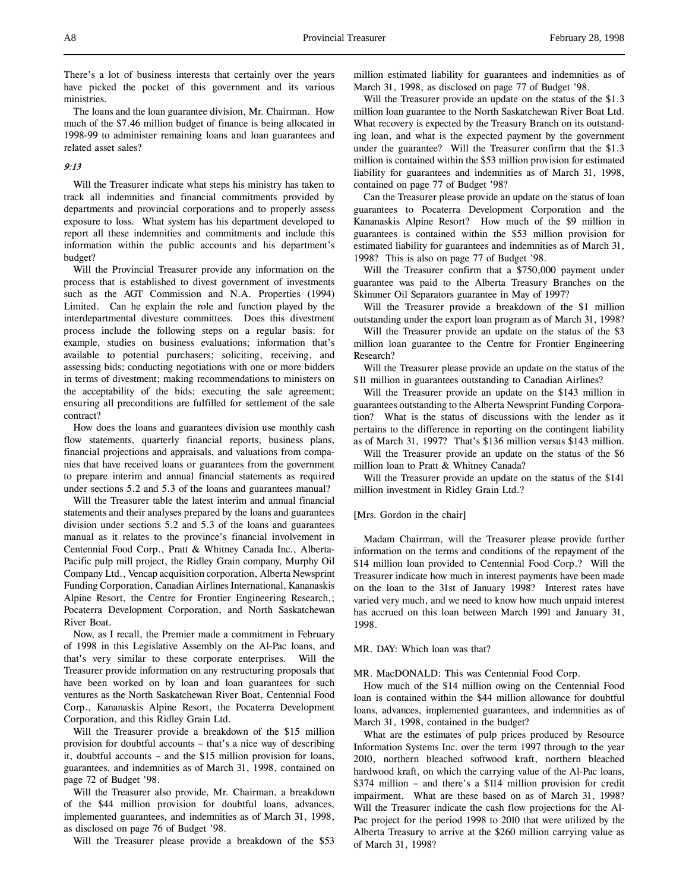There's a lot of business interests that certainly over the years have picked the pocket of this government and its various ministries.

The loans and the loan guarantee division, Mr. Chairman. How much of the \$7.46 million budget of finance is being allocated in 1998-99 to administer remaining loans and loan guarantees and related asset sales?

# 9:13

Will the Treasurer indicate what steps his ministry has taken to track all indemnities and financial commitments provided by departments and provincial corporations and to properly assess exposure to loss. What system has his department developed to report all these indemnities and commitments and include this information within the public accounts and his department's budget?

Will the Provincial Treasurer provide any information on the process that is established to divest government of investments such as the AGT Commission and N.A. Properties (1994) Limited. Can he explain the role and function played by the interdepartmental divesture committees. Does this divestment process include the following steps on a regular basis: for example, studies on business evaluations; information that's available to potential purchasers; soliciting, receiving, and assessing bids; conducting negotiations with one or more bidders in terms of divestment; making recommendations to ministers on the acceptability of the bids; executing the sale agreement; ensuring all preconditions are fulfilled for settlement of the sale contract?

How does the loans and guarantees division use monthly cash flow statements, quarterly financial reports, business plans, financial projections and appraisals, and valuations from companies that have received loans or guarantees from the government to prepare interim and annual financial statements as required under sections 5.2 and 5.3 of the loans and guarantees manual?

Will the Treasurer table the latest interim and annual financial statements and their analyses prepared by the loans and guarantees division under sections 5.2 and 5.3 of the loans and guarantees manual as it relates to the province's financial involvement in Centennial Food Corp., Pratt & Whitney Canada Inc., Alberta-Pacific pulp mill project, the Ridley Grain company, Murphy Oil Company Ltd., Vencap acquisition corporation, Alberta Newsprint Funding Corporation, Canadian Airlines International, Kananaskis Alpine Resort, the Centre for Frontier Engineering Research,; Pocaterra Development Corporation, and North Saskatchewan River Boat.

Now, as I recall, the Premier made a commitment in February of 1998 in this Legislative Assembly on the Al-Pac loans, and that's very similar to these corporate enterprises. Will the Treasurer provide information on any restructuring proposals that have been worked on by loan and loan guarantees for such ventures as the North Saskatchewan River Boat, Centennial Food Corp., Kananaskis Alpine Resort, the Pocaterra Development Corporation, and this Ridley Grain Ltd.

Will the Treasurer provide a breakdown of the \$15 million provision for doubtful accounts – that's a nice way of describing it, doubtful accounts – and the \$15 million provision for loans, guarantees, and indemnities as of March 31, 1998, contained on page 72 of Budget '98.

Will the Treasurer also provide, Mr. Chairman, a breakdown of the \$44 million provision for doubtful loans, advances, implemented guarantees, and indemnities as of March 31, 1998, as disclosed on page 76 of Budget '98.

Will the Treasurer please provide a breakdown of the \$53

million estimated liability for guarantees and indemnities as of March 31, 1998, as disclosed on page 77 of Budget '98.

Will the Treasurer provide an update on the status of the \$1.3 million loan guarantee to the North Saskatchewan River Boat Ltd. What recovery is expected by the Treasury Branch on its outstanding loan, and what is the expected payment by the government under the guarantee? Will the Treasurer confirm that the \$1.3 million is contained within the \$53 million provision for estimated liability for guarantees and indemnities as of March 31, 1998, contained on page 77 of Budget '98?

Can the Treasurer please provide an update on the status of loan guarantees to Pocaterra Development Corporation and the Kananaskis Alpine Resort? How much of the \$9 million in guarantees is contained within the \$53 million provision for estimated liability for guarantees and indemnities as of March 31, 1998? This is also on page 77 of Budget '98.

Will the Treasurer confirm that a \$750,000 payment under guarantee was paid to the Alberta Treasury Branches on the Skimmer Oil Separators guarantee in May of 1997?

Will the Treasurer provide a breakdown of the \$1 million outstanding under the export loan program as of March 31, 1998?

Will the Treasurer provide an update on the status of the \$3 million loan guarantee to the Centre for Frontier Engineering Research?

Will the Treasurer please provide an update on the status of the \$11 million in guarantees outstanding to Canadian Airlines?

Will the Treasurer provide an update on the \$143 million in guarantees outstanding to the Alberta Newsprint Funding Corporation? What is the status of discussions with the lender as it pertains to the difference in reporting on the contingent liability as of March 31, 1997? That's \$136 million versus \$143 million.

Will the Treasurer provide an update on the status of the \$6 million loan to Pratt & Whitney Canada?

Will the Treasurer provide an update on the status of the \$141 million investment in Ridley Grain Ltd.?

### [Mrs. Gordon in the chair]

Madam Chairman, will the Treasurer please provide further information on the terms and conditions of the repayment of the \$14 million loan provided to Centennial Food Corp.? Will the Treasurer indicate how much in interest payments have been made on the loan to the 31st of January 1998? Interest rates have varied very much, and we need to know how much unpaid interest has accrued on this loan between March 1991 and January 31, 1998.

MR. DAY: Which loan was that?

MR. MacDONALD: This was Centennial Food Corp.

How much of the \$14 million owing on the Centennial Food loan is contained within the \$44 million allowance for doubtful loans, advances, implemented guarantees, and indemnities as of March 31, 1998, contained in the budget?

What are the estimates of pulp prices produced by Resource Information Systems Inc. over the term 1997 through to the year 2010, northern bleached softwood kraft, northern bleached hardwood kraft, on which the carrying value of the Al-Pac loans, \$374 million – and there's a \$114 million provision for credit impairment. What are these based on as of March 31, 1998? Will the Treasurer indicate the cash flow projections for the Al-Pac project for the period 1998 to 2010 that were utilized by the Alberta Treasury to arrive at the \$260 million carrying value as of March 31, 1998?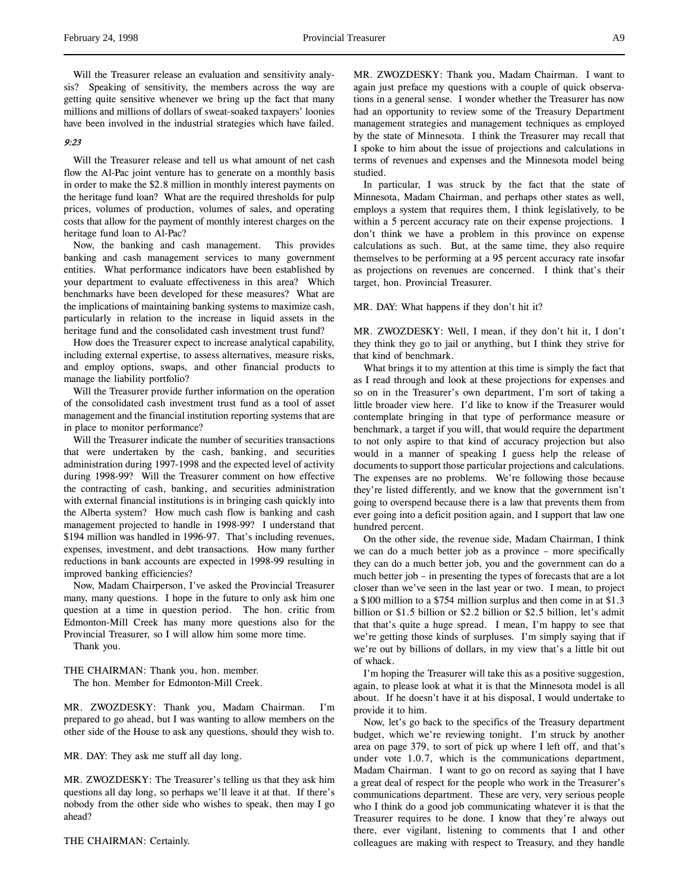# 9:23

Will the Treasurer release and tell us what amount of net cash flow the Al-Pac joint venture has to generate on a monthly basis in order to make the \$2.8 million in monthly interest payments on the heritage fund loan? What are the required thresholds for pulp prices, volumes of production, volumes of sales, and operating costs that allow for the payment of monthly interest charges on the heritage fund loan to Al-Pac?

Now, the banking and cash management. This provides banking and cash management services to many government entities. What performance indicators have been established by your department to evaluate effectiveness in this area? Which benchmarks have been developed for these measures? What are the implications of maintaining banking systems to maximize cash, particularly in relation to the increase in liquid assets in the heritage fund and the consolidated cash investment trust fund?

How does the Treasurer expect to increase analytical capability, including external expertise, to assess alternatives, measure risks, and employ options, swaps, and other financial products to manage the liability portfolio?

Will the Treasurer provide further information on the operation of the consolidated cash investment trust fund as a tool of asset management and the financial institution reporting systems that are in place to monitor performance?

Will the Treasurer indicate the number of securities transactions that were undertaken by the cash, banking, and securities administration during 1997-1998 and the expected level of activity during 1998-99? Will the Treasurer comment on how effective the contracting of cash, banking, and securities administration with external financial institutions is in bringing cash quickly into the Alberta system? How much cash flow is banking and cash management projected to handle in 1998-99? I understand that \$194 million was handled in 1996-97. That's including revenues, expenses, investment, and debt transactions. How many further reductions in bank accounts are expected in 1998-99 resulting in improved banking efficiencies?

Now, Madam Chairperson, I've asked the Provincial Treasurer many, many questions. I hope in the future to only ask him one question at a time in question period. The hon. critic from Edmonton-Mill Creek has many more questions also for the Provincial Treasurer, so I will allow him some more time.

Thank you.

THE CHAIRMAN: Thank you, hon. member. The hon. Member for Edmonton-Mill Creek.

MR. ZWOZDESKY: Thank you, Madam Chairman. I'm prepared to go ahead, but I was wanting to allow members on the other side of the House to ask any questions, should they wish to.

MR. DAY: They ask me stuff all day long.

MR. ZWOZDESKY: The Treasurer's telling us that they ask him questions all day long, so perhaps we'll leave it at that. If there's nobody from the other side who wishes to speak, then may I go ahead?

MR. ZWOZDESKY: Thank you, Madam Chairman. I want to again just preface my questions with a couple of quick observations in a general sense. I wonder whether the Treasurer has now had an opportunity to review some of the Treasury Department management strategies and management techniques as employed by the state of Minnesota. I think the Treasurer may recall that I spoke to him about the issue of projections and calculations in terms of revenues and expenses and the Minnesota model being studied.

In particular, I was struck by the fact that the state of Minnesota, Madam Chairman, and perhaps other states as well, employs a system that requires them, I think legislatively, to be within a 5 percent accuracy rate on their expense projections. I don't think we have a problem in this province on expense calculations as such. But, at the same time, they also require themselves to be performing at a 95 percent accuracy rate insofar as projections on revenues are concerned. I think that's their target, hon. Provincial Treasurer.

### MR. DAY: What happens if they don't hit it?

MR. ZWOZDESKY: Well, I mean, if they don't hit it, I don't they think they go to jail or anything, but I think they strive for that kind of benchmark.

What brings it to my attention at this time is simply the fact that as I read through and look at these projections for expenses and so on in the Treasurer's own department, I'm sort of taking a little broader view here. I'd like to know if the Treasurer would contemplate bringing in that type of performance measure or benchmark, a target if you will, that would require the department to not only aspire to that kind of accuracy projection but also would in a manner of speaking I guess help the release of documents to support those particular projections and calculations. The expenses are no problems. We're following those because they're listed differently, and we know that the government isn't going to overspend because there is a law that prevents them from ever going into a deficit position again, and I support that law one hundred percent.

On the other side, the revenue side, Madam Chairman, I think we can do a much better job as a province – more specifically they can do a much better job, you and the government can do a much better job – in presenting the types of forecasts that are a lot closer than we've seen in the last year or two. I mean, to project a \$100 million to a \$754 million surplus and then come in at \$1.3 billion or \$1.5 billion or \$2.2 billion or \$2.5 billion, let's admit that that's quite a huge spread. I mean, I'm happy to see that we're getting those kinds of surpluses. I'm simply saying that if we're out by billions of dollars, in my view that's a little bit out of whack.

I'm hoping the Treasurer will take this as a positive suggestion, again, to please look at what it is that the Minnesota model is all about. If he doesn't have it at his disposal, I would undertake to provide it to him.

Now, let's go back to the specifics of the Treasury department budget, which we're reviewing tonight. I'm struck by another area on page 379, to sort of pick up where I left off, and that's under vote 1.0.7, which is the communications department, Madam Chairman. I want to go on record as saying that I have a great deal of respect for the people who work in the Treasurer's communications department. These are very, very serious people who I think do a good job communicating whatever it is that the Treasurer requires to be done. I know that they're always out there, ever vigilant, listening to comments that I and other colleagues are making with respect to Treasury, and they handle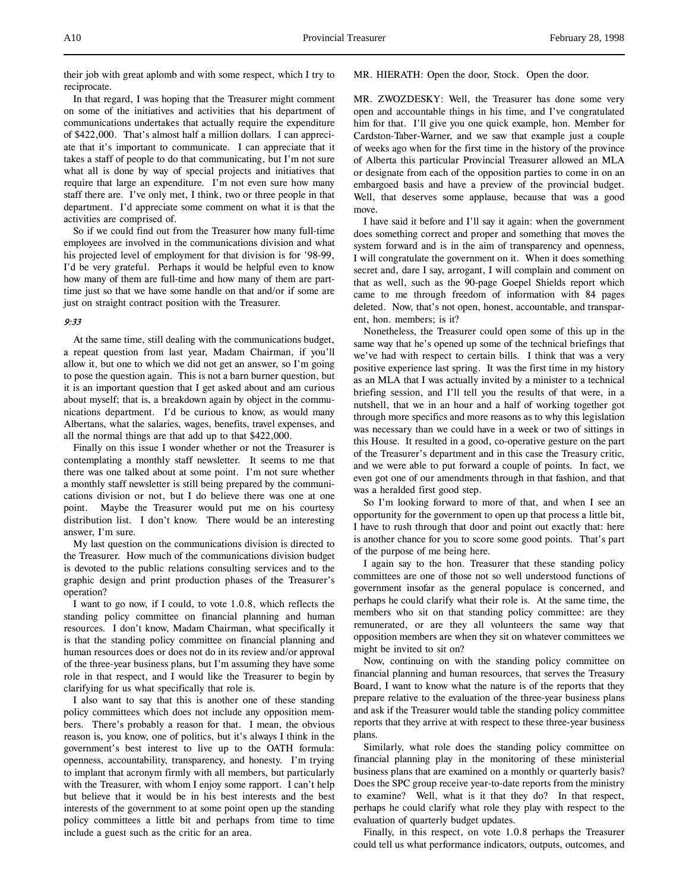their job with great aplomb and with some respect, which I try to reciprocate.

In that regard, I was hoping that the Treasurer might comment on some of the initiatives and activities that his department of communications undertakes that actually require the expenditure of \$422,000. That's almost half a million dollars. I can appreciate that it's important to communicate. I can appreciate that it takes a staff of people to do that communicating, but I'm not sure what all is done by way of special projects and initiatives that require that large an expenditure. I'm not even sure how many staff there are. I've only met, I think, two or three people in that department. I'd appreciate some comment on what it is that the activities are comprised of.

So if we could find out from the Treasurer how many full-time employees are involved in the communications division and what his projected level of employment for that division is for '98-99, I'd be very grateful. Perhaps it would be helpful even to know how many of them are full-time and how many of them are parttime just so that we have some handle on that and/or if some are just on straight contract position with the Treasurer.

# 9:33

At the same time, still dealing with the communications budget, a repeat question from last year, Madam Chairman, if you'll allow it, but one to which we did not get an answer, so I'm going to pose the question again. This is not a barn burner question, but it is an important question that I get asked about and am curious about myself; that is, a breakdown again by object in the communications department. I'd be curious to know, as would many Albertans, what the salaries, wages, benefits, travel expenses, and all the normal things are that add up to that \$422,000.

Finally on this issue I wonder whether or not the Treasurer is contemplating a monthly staff newsletter. It seems to me that there was one talked about at some point. I'm not sure whether a monthly staff newsletter is still being prepared by the communications division or not, but I do believe there was one at one point. Maybe the Treasurer would put me on his courtesy distribution list. I don't know. There would be an interesting answer, I'm sure.

My last question on the communications division is directed to the Treasurer. How much of the communications division budget is devoted to the public relations consulting services and to the graphic design and print production phases of the Treasurer's operation?

I want to go now, if I could, to vote 1.0.8, which reflects the standing policy committee on financial planning and human resources. I don't know, Madam Chairman, what specifically it is that the standing policy committee on financial planning and human resources does or does not do in its review and/or approval of the three-year business plans, but I'm assuming they have some role in that respect, and I would like the Treasurer to begin by clarifying for us what specifically that role is.

I also want to say that this is another one of these standing policy committees which does not include any opposition members. There's probably a reason for that. I mean, the obvious reason is, you know, one of politics, but it's always I think in the government's best interest to live up to the OATH formula: openness, accountability, transparency, and honesty. I'm trying to implant that acronym firmly with all members, but particularly with the Treasurer, with whom I enjoy some rapport. I can't help but believe that it would be in his best interests and the best interests of the government to at some point open up the standing policy committees a little bit and perhaps from time to time include a guest such as the critic for an area.

MR. HIERATH: Open the door, Stock. Open the door.

MR. ZWOZDESKY: Well, the Treasurer has done some very open and accountable things in his time, and I've congratulated him for that. I'll give you one quick example, hon. Member for Cardston-Taber-Warner, and we saw that example just a couple of weeks ago when for the first time in the history of the province of Alberta this particular Provincial Treasurer allowed an MLA or designate from each of the opposition parties to come in on an embargoed basis and have a preview of the provincial budget. Well, that deserves some applause, because that was a good move.

I have said it before and I'll say it again: when the government does something correct and proper and something that moves the system forward and is in the aim of transparency and openness, I will congratulate the government on it. When it does something secret and, dare I say, arrogant, I will complain and comment on that as well, such as the 90-page Goepel Shields report which came to me through freedom of information with 84 pages deleted. Now, that's not open, honest, accountable, and transparent, hon. members; is it?

Nonetheless, the Treasurer could open some of this up in the same way that he's opened up some of the technical briefings that we've had with respect to certain bills. I think that was a very positive experience last spring. It was the first time in my history as an MLA that I was actually invited by a minister to a technical briefing session, and I'll tell you the results of that were, in a nutshell, that we in an hour and a half of working together got through more specifics and more reasons as to why this legislation was necessary than we could have in a week or two of sittings in this House. It resulted in a good, co-operative gesture on the part of the Treasurer's department and in this case the Treasury critic, and we were able to put forward a couple of points. In fact, we even got one of our amendments through in that fashion, and that was a heralded first good step.

So I'm looking forward to more of that, and when I see an opportunity for the government to open up that process a little bit, I have to rush through that door and point out exactly that: here is another chance for you to score some good points. That's part of the purpose of me being here.

I again say to the hon. Treasurer that these standing policy committees are one of those not so well understood functions of government insofar as the general populace is concerned, and perhaps he could clarify what their role is. At the same time, the members who sit on that standing policy committee: are they remunerated, or are they all volunteers the same way that opposition members are when they sit on whatever committees we might be invited to sit on?

Now, continuing on with the standing policy committee on financial planning and human resources, that serves the Treasury Board, I want to know what the nature is of the reports that they prepare relative to the evaluation of the three-year business plans and ask if the Treasurer would table the standing policy committee reports that they arrive at with respect to these three-year business plans.

Similarly, what role does the standing policy committee on financial planning play in the monitoring of these ministerial business plans that are examined on a monthly or quarterly basis? Does the SPC group receive year-to-date reports from the ministry to examine? Well, what is it that they do? In that respect, perhaps he could clarify what role they play with respect to the evaluation of quarterly budget updates.

Finally, in this respect, on vote 1.0.8 perhaps the Treasurer could tell us what performance indicators, outputs, outcomes, and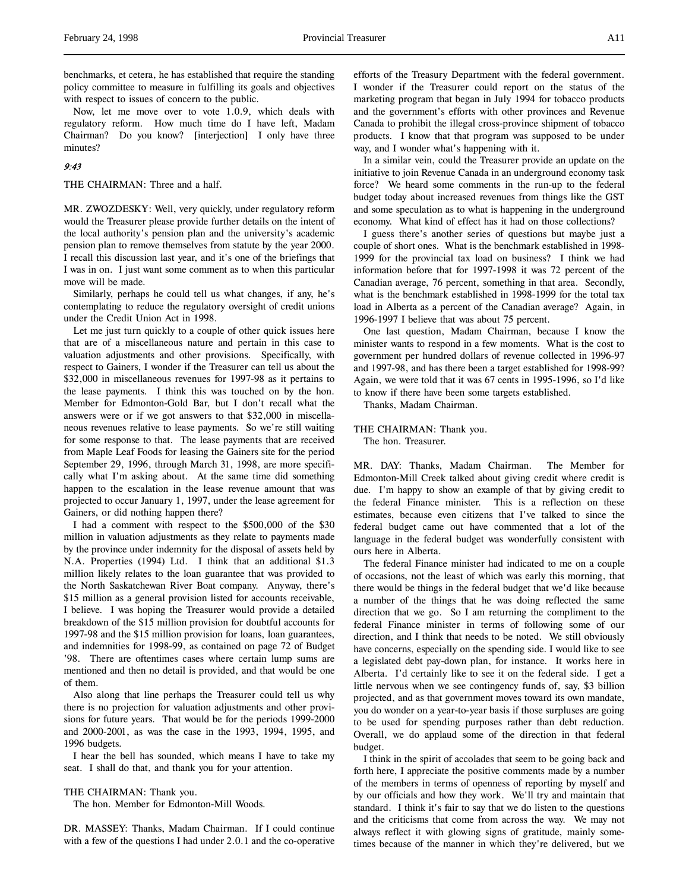benchmarks, et cetera, he has established that require the standing policy committee to measure in fulfilling its goals and objectives with respect to issues of concern to the public.

Now, let me move over to vote 1.0.9, which deals with regulatory reform. How much time do I have left, Madam Chairman? Do you know? [interjection] I only have three minutes?

# 9:43

THE CHAIRMAN: Three and a half.

MR. ZWOZDESKY: Well, very quickly, under regulatory reform would the Treasurer please provide further details on the intent of the local authority's pension plan and the university's academic pension plan to remove themselves from statute by the year 2000. I recall this discussion last year, and it's one of the briefings that I was in on. I just want some comment as to when this particular move will be made.

Similarly, perhaps he could tell us what changes, if any, he's contemplating to reduce the regulatory oversight of credit unions under the Credit Union Act in 1998.

Let me just turn quickly to a couple of other quick issues here that are of a miscellaneous nature and pertain in this case to valuation adjustments and other provisions. Specifically, with respect to Gainers, I wonder if the Treasurer can tell us about the \$32,000 in miscellaneous revenues for 1997-98 as it pertains to the lease payments. I think this was touched on by the hon. Member for Edmonton-Gold Bar, but I don't recall what the answers were or if we got answers to that \$32,000 in miscellaneous revenues relative to lease payments. So we're still waiting for some response to that. The lease payments that are received from Maple Leaf Foods for leasing the Gainers site for the period September 29, 1996, through March 31, 1998, are more specifically what I'm asking about. At the same time did something happen to the escalation in the lease revenue amount that was projected to occur January 1, 1997, under the lease agreement for Gainers, or did nothing happen there?

I had a comment with respect to the \$500,000 of the \$30 million in valuation adjustments as they relate to payments made by the province under indemnity for the disposal of assets held by N.A. Properties (1994) Ltd. I think that an additional \$1.3 million likely relates to the loan guarantee that was provided to the North Saskatchewan River Boat company. Anyway, there's \$15 million as a general provision listed for accounts receivable, I believe. I was hoping the Treasurer would provide a detailed breakdown of the \$15 million provision for doubtful accounts for 1997-98 and the \$15 million provision for loans, loan guarantees, and indemnities for 1998-99, as contained on page 72 of Budget '98. There are oftentimes cases where certain lump sums are mentioned and then no detail is provided, and that would be one of them.

Also along that line perhaps the Treasurer could tell us why there is no projection for valuation adjustments and other provisions for future years. That would be for the periods 1999-2000 and 2000-2001, as was the case in the 1993, 1994, 1995, and 1996 budgets.

I hear the bell has sounded, which means I have to take my seat. I shall do that, and thank you for your attention.

THE CHAIRMAN: Thank you.

The hon. Member for Edmonton-Mill Woods.

DR. MASSEY: Thanks, Madam Chairman. If I could continue with a few of the questions I had under 2.0.1 and the co-operative efforts of the Treasury Department with the federal government. I wonder if the Treasurer could report on the status of the marketing program that began in July 1994 for tobacco products and the government's efforts with other provinces and Revenue Canada to prohibit the illegal cross-province shipment of tobacco products. I know that that program was supposed to be under way, and I wonder what's happening with it.

In a similar vein, could the Treasurer provide an update on the initiative to join Revenue Canada in an underground economy task force? We heard some comments in the run-up to the federal budget today about increased revenues from things like the GST and some speculation as to what is happening in the underground economy. What kind of effect has it had on those collections?

I guess there's another series of questions but maybe just a couple of short ones. What is the benchmark established in 1998- 1999 for the provincial tax load on business? I think we had information before that for 1997-1998 it was 72 percent of the Canadian average, 76 percent, something in that area. Secondly, what is the benchmark established in 1998-1999 for the total tax load in Alberta as a percent of the Canadian average? Again, in 1996-1997 I believe that was about 75 percent.

One last question, Madam Chairman, because I know the minister wants to respond in a few moments. What is the cost to government per hundred dollars of revenue collected in 1996-97 and 1997-98, and has there been a target established for 1998-99? Again, we were told that it was 67 cents in 1995-1996, so I'd like to know if there have been some targets established.

Thanks, Madam Chairman.

# THE CHAIRMAN: Thank you.

The hon. Treasurer.

MR. DAY: Thanks, Madam Chairman. The Member for Edmonton-Mill Creek talked about giving credit where credit is due. I'm happy to show an example of that by giving credit to the federal Finance minister. This is a reflection on these estimates, because even citizens that I've talked to since the federal budget came out have commented that a lot of the language in the federal budget was wonderfully consistent with ours here in Alberta.

The federal Finance minister had indicated to me on a couple of occasions, not the least of which was early this morning, that there would be things in the federal budget that we'd like because a number of the things that he was doing reflected the same direction that we go. So I am returning the compliment to the federal Finance minister in terms of following some of our direction, and I think that needs to be noted. We still obviously have concerns, especially on the spending side. I would like to see a legislated debt pay-down plan, for instance. It works here in Alberta. I'd certainly like to see it on the federal side. I get a little nervous when we see contingency funds of, say, \$3 billion projected, and as that government moves toward its own mandate, you do wonder on a year-to-year basis if those surpluses are going to be used for spending purposes rather than debt reduction. Overall, we do applaud some of the direction in that federal budget.

I think in the spirit of accolades that seem to be going back and forth here, I appreciate the positive comments made by a number of the members in terms of openness of reporting by myself and by our officials and how they work. We'll try and maintain that standard. I think it's fair to say that we do listen to the questions and the criticisms that come from across the way. We may not always reflect it with glowing signs of gratitude, mainly sometimes because of the manner in which they're delivered, but we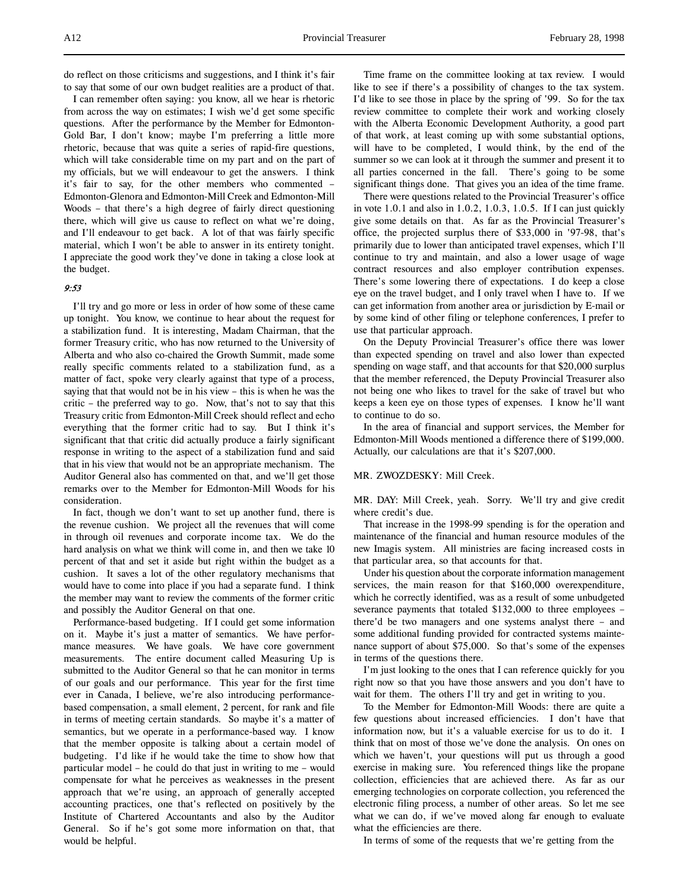do reflect on those criticisms and suggestions, and I think it's fair to say that some of our own budget realities are a product of that.

I can remember often saying: you know, all we hear is rhetoric from across the way on estimates; I wish we'd get some specific questions. After the performance by the Member for Edmonton-Gold Bar, I don't know; maybe I'm preferring a little more rhetoric, because that was quite a series of rapid-fire questions, which will take considerable time on my part and on the part of my officials, but we will endeavour to get the answers. I think it's fair to say, for the other members who commented – Edmonton-Glenora and Edmonton-Mill Creek and Edmonton-Mill Woods – that there's a high degree of fairly direct questioning there, which will give us cause to reflect on what we're doing, and I'll endeavour to get back. A lot of that was fairly specific material, which I won't be able to answer in its entirety tonight. I appreciate the good work they've done in taking a close look at the budget.

### 9:53

I'll try and go more or less in order of how some of these came up tonight. You know, we continue to hear about the request for a stabilization fund. It is interesting, Madam Chairman, that the former Treasury critic, who has now returned to the University of Alberta and who also co-chaired the Growth Summit, made some really specific comments related to a stabilization fund, as a matter of fact, spoke very clearly against that type of a process, saying that that would not be in his view – this is when he was the critic – the preferred way to go. Now, that's not to say that this Treasury critic from Edmonton-Mill Creek should reflect and echo everything that the former critic had to say. But I think it's significant that that critic did actually produce a fairly significant response in writing to the aspect of a stabilization fund and said that in his view that would not be an appropriate mechanism. The Auditor General also has commented on that, and we'll get those remarks over to the Member for Edmonton-Mill Woods for his consideration.

In fact, though we don't want to set up another fund, there is the revenue cushion. We project all the revenues that will come in through oil revenues and corporate income tax. We do the hard analysis on what we think will come in, and then we take 10 percent of that and set it aside but right within the budget as a cushion. It saves a lot of the other regulatory mechanisms that would have to come into place if you had a separate fund. I think the member may want to review the comments of the former critic and possibly the Auditor General on that one.

Performance-based budgeting. If I could get some information on it. Maybe it's just a matter of semantics. We have performance measures. We have goals. We have core government measurements. The entire document called Measuring Up is submitted to the Auditor General so that he can monitor in terms of our goals and our performance. This year for the first time ever in Canada, I believe, we're also introducing performancebased compensation, a small element, 2 percent, for rank and file in terms of meeting certain standards. So maybe it's a matter of semantics, but we operate in a performance-based way. I know that the member opposite is talking about a certain model of budgeting. I'd like if he would take the time to show how that particular model – he could do that just in writing to me – would compensate for what he perceives as weaknesses in the present approach that we're using, an approach of generally accepted accounting practices, one that's reflected on positively by the Institute of Chartered Accountants and also by the Auditor General. So if he's got some more information on that, that would be helpful.

Time frame on the committee looking at tax review. I would like to see if there's a possibility of changes to the tax system. I'd like to see those in place by the spring of '99. So for the tax review committee to complete their work and working closely with the Alberta Economic Development Authority, a good part of that work, at least coming up with some substantial options, will have to be completed, I would think, by the end of the summer so we can look at it through the summer and present it to all parties concerned in the fall. There's going to be some significant things done. That gives you an idea of the time frame.

There were questions related to the Provincial Treasurer's office in vote 1.0.1 and also in 1.0.2, 1.0.3, 1.0.5. If I can just quickly give some details on that. As far as the Provincial Treasurer's office, the projected surplus there of \$33,000 in '97-98, that's primarily due to lower than anticipated travel expenses, which I'll continue to try and maintain, and also a lower usage of wage contract resources and also employer contribution expenses. There's some lowering there of expectations. I do keep a close eye on the travel budget, and I only travel when I have to. If we can get information from another area or jurisdiction by E-mail or by some kind of other filing or telephone conferences, I prefer to use that particular approach.

On the Deputy Provincial Treasurer's office there was lower than expected spending on travel and also lower than expected spending on wage staff, and that accounts for that \$20,000 surplus that the member referenced, the Deputy Provincial Treasurer also not being one who likes to travel for the sake of travel but who keeps a keen eye on those types of expenses. I know he'll want to continue to do so.

In the area of financial and support services, the Member for Edmonton-Mill Woods mentioned a difference there of \$199,000. Actually, our calculations are that it's \$207,000.

# MR. ZWOZDESKY: Mill Creek.

MR. DAY: Mill Creek, yeah. Sorry. We'll try and give credit where credit's due.

That increase in the 1998-99 spending is for the operation and maintenance of the financial and human resource modules of the new Imagis system. All ministries are facing increased costs in that particular area, so that accounts for that.

Under his question about the corporate information management services, the main reason for that \$160,000 overexpenditure, which he correctly identified, was as a result of some unbudgeted severance payments that totaled \$132,000 to three employees – there'd be two managers and one systems analyst there – and some additional funding provided for contracted systems maintenance support of about \$75,000. So that's some of the expenses in terms of the questions there.

I'm just looking to the ones that I can reference quickly for you right now so that you have those answers and you don't have to wait for them. The others I'll try and get in writing to you.

To the Member for Edmonton-Mill Woods: there are quite a few questions about increased efficiencies. I don't have that information now, but it's a valuable exercise for us to do it. I think that on most of those we've done the analysis. On ones on which we haven't, your questions will put us through a good exercise in making sure. You referenced things like the propane collection, efficiencies that are achieved there. As far as our emerging technologies on corporate collection, you referenced the electronic filing process, a number of other areas. So let me see what we can do, if we've moved along far enough to evaluate what the efficiencies are there.

In terms of some of the requests that we're getting from the